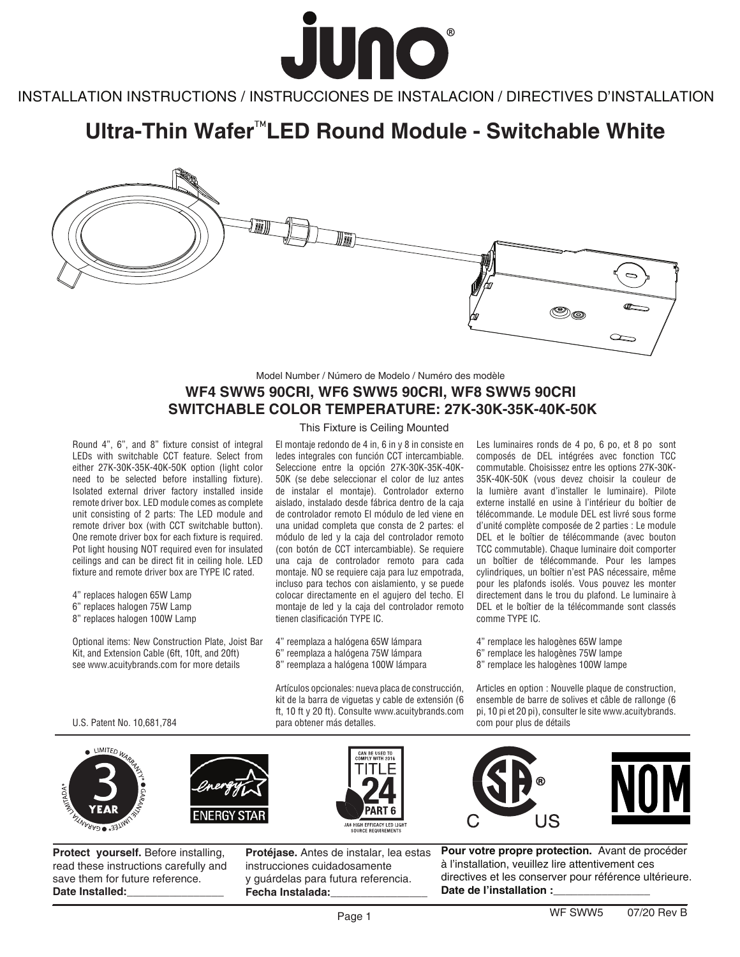

INSTALLATION INSTRUCTIONS / INSTRUCCIONES DE INSTALACION / DIRECTIVES D'INSTALLATION INSTALLATION INSTRUCTIONS / INSTRUCCIONES DE INSTALACION / DIRECTIVES D'INSTALLATION

# **Ultra-Thin Wafer<sup>™</sup>LED Round Module - Switchable White**



## Model Number / Número de Modelo / Numéro des modèle **WF4 SWW5 90CRI, WF6 SWW5 90CRI, WF8 SWW5 90CRI SWITCHABLE COLOR TEMPERATURE: 27K-30K-35K-40K-50K**

Round 4", 6", and 8" fixture consist of integral LEDs with switchable CCT feature. Select from either 27K-30K-35K-40K-50K option (light color need to be selected before installing fixture). Isolated external driver factory installed inside remote driver box. LED module comes as complete unit consisting of 2 parts: The LED module and remote driver box (with CCT switchable button). One remote driver box for each fixture is required. Pot light housing NOT required even for insulated ceilings and can be direct fit in ceiling hole. LED fixture and remote driver box are TYPE IC rated.

4" replaces halogen 65W Lamp

6" replaces halogen 75W Lamp

8" replaces halogen 100W Lamp

Optional items: New Construction Plate, Joist Bar Kit, and Extension Cable (6ft, 10ft, and 20ft) see www.acuitybrands.com for more details

### This Fixture is Ceiling Mounted

El montaje redondo de 4 in, 6 in y 8 in consiste en ledes integrales con función CCT intercambiable. Seleccione entre la opción 27K-30K-35K-40K-50K (se debe seleccionar el color de luz antes de instalar el montaje). Controlador externo aislado, instalado desde fábrica dentro de la caja de controlador remoto El módulo de led viene en una unidad completa que consta de 2 partes: el módulo de led y la caja del controlador remoto (con botón de CCT intercambiable). Se requiere una caja de controlador remoto para cada montaje. NO se requiere caja para luz empotrada, incluso para techos con aislamiento, y se puede colocar directamente en el agujero del techo. El montaje de led y la caja del controlador remoto tienen clasificación TYPE IC.

4" reemplaza a halógena 65W lámpara 6" reemplaza a halógena 75W lámpara 8" reemplaza a halógena 100W lámpara

Artículos opcionales: nueva placa de construcción, kit de la barra de viguetas y cable de extensión (6 ft, 10 ft y 20 ft). Consulte www.acuitybrands.com para obtener más detalles.

**PART 6** 

**JA8 HIGH EFFICACY LED LIGHT**<br>SOURCE REQUIREMENTS

Les luminaires ronds de 4 po, 6 po, et 8 po sont composés de DEL intégrées avec fonction TCC commutable. Choisissez entre les options 27K-30K-35K-40K-50K (vous devez choisir la couleur de la lumière avant d'installer le luminaire). Pilote externe installé en usine à l'intérieur du boîtier de télécommande. Le module DEL est livré sous forme d'unité complète composée de 2 parties : Le module DEL et le boîtier de télécommande (avec bouton TCC commutable). Chaque luminaire doit comporter un boîtier de télécommande. Pour les lampes cylindriques, un boîtier n'est PAS nécessaire, même pour les plafonds isolés. Vous pouvez les monter directement dans le trou du plafond. Le luminaire à DEL et le boîtier de la télécommande sont classés comme TYPE IC.

4" remplace les halogènes 65W lampe 6" remplace les halogènes 75W lampe 8" remplace les halogènes 100W lampe

Articles en option : Nouvelle plaque de construction, ensemble de barre de solives et câble de rallonge (6 pi, 10 pi et 20 pi), consulter le site www.acuitybrands. com pour plus de détails

U.S. Patent No. 10,681,784





**Protect yourself.** Before installing, read these instructions carefully and save them for future reference. Date Installed:

**Protéjase.** Antes de instalar, lea estas instrucciones cuidadosamente y guárdelas para futura referencia. **Fecha Instalada:\_\_\_\_\_\_\_\_\_\_\_\_\_\_\_\_**



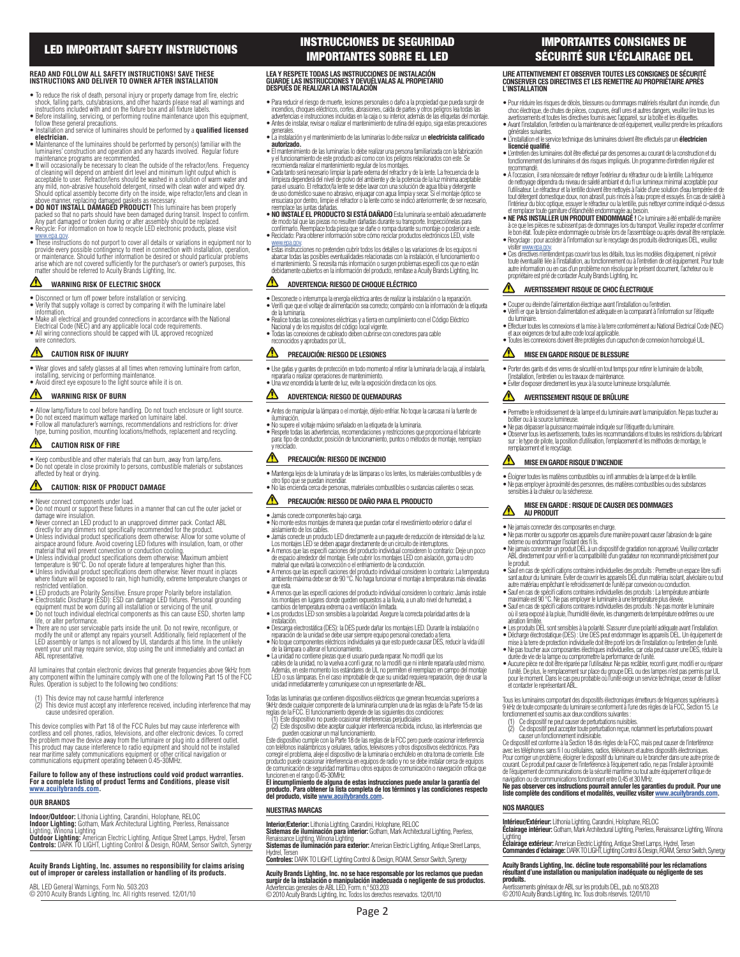## **LED IMPORTANT SAFETY INSTRUCTIONS**

#### **READ AND FOLLOW ALL SAFETY INSTRUCTIONS! SAVE THESE INSTRUCTIONS AND DELIVER TO OWNER AFTER INSTALLATION**

- $\bullet$  To reduce the risk of death, personal injury or property damage from fire, electric<br>shock, falling parts, cuts/abrasions, and other hazards please read all warnings and<br>instructions included with and on the fixture b
- Before installing, servicing, or performing routine maintenance upon this equipment,<br>• follow these general precautions.<br>• Installation and service of luminaires should be performed by a **qualified licensed**<br>• **Calcitric**
- luminaires' construction and operation and any hazards involved. Regular fixture
- maintenance programs are recommended.<br>• It will occasionally be necessary to clean the outside of the refractor/lens. Frequency<br>of cleaning will depend on ambient dirt level and minimum light output which is<br>acceptable to
- any mild, non-abrasive household detergent, rinsed with clean water and wiped dry.<br>Should optical assembly become dirty on the inside, wipe refractor/lens and clean in<br>above manner, replacing damaged gaskets as necessary.<br>
- Recycle: For information on how to recycle LED electronic products, please visit
- www.epa.gov.<br>• These instructions do not purport to cover all details or variations in equipment nor to<br>provide every possible contingency to meet in connection with installation, operation,<br>or maintenance. Should further arise which are not covered sufficiently for the purchaser's or owner's purposes, this<br>matter should be referred to Acuity Brands Lighting, Inc.

#### ⚠ **WARNING RISK OF ELECTRIC SHOCK**

- Disconnect or turn off power before installation or servicing. • Verify that supply voltage is correct by comparing it with the luminaire label
- information. Make all electrical and grounded connections in accordance with the National
- Electrical Code (NEC) and any applicable local code requirements. All wiring connections should be capped with UL approved recognized wire connectors.
- 

#### ⚠ **CAUTION RISK OF INJURY**

• Wear gloves and safety glasses at all times when removing luminaire from carton, installing, servicing or performing maintenance. • Avoid direct eye exposure to the light source while it is on.

#### ⚠ **WARNING RISK OF BURN**

- 
- 
- Allow lamp/fixture to cool before handling. Do not touch enclosure or light source.<br>• Do not exceed maximum wattage marked on luminaire label.<br>• Follow all manufacturer's warnings, recommendations and restrictions for: d

#### ⚠ **CAUTION RISK OF FIRE**

• Keep combustible and other materials that can burn, away from lamp/lens. • Do not operate in close proximity to persons, combustible materials or substances affected by heat or drying.

### **CAUTION: RISK OF PRODUCT DAMAGE**

- Never connect components under load. Do not mount or support these fi xtures in a manner that can cut the outer jacket or
- 
- 
- damage wire insulation.<br>
 Never connect an LED product to an unapproved dimmer pack. Contact ABL<br>
directly for any dimmers not specifically recommended for the product.<br>
 Unless individual product specificalions deem ot
- 
- where fixture will be exposed to rain, high humidity, extreme temperature changes or restricted ventilation
- 
- restricted ventilation.<br>• LED products are Polarity Sensitive. Ensure proper Polarity before installation.<br>• Electrostatic Discharge (ESD): ESD can damage LED fixtures. Personal grounding<br>• equipment must be worn during al life, or alter performance.
- There are no user serviceable parts inside the unit. Do not rewire, reconfigure, or<br>modify the unit or attempt any repairs yourself. Additionally, field replacement of the<br>LED assembly or lamps is not allowed by UL standar event your unit may require service, stop using the unit immediately and contact an ABL representative.

All luminaires that contain electronic devices that generate frequencies above 9kHz from any component within the luminaire comply with one of the following Part 15 of the FCC Rules. Operation is subject to the following two conditions:

- (1) This device may not cause harmful interference (2) This device must accept any interference received, including interference that may cause undesired operation.
- This device complies with Part 18 of the FCC Rules but may cause interference with cordless and cell phones, radios, televisions, and other electronic devices. To correct<br>the problem move the device away from the luminaire or plug into a different outlet.<br>This product may cause interference to radio equi near maritime safety communications equipment or other critical navigation or

# **Failure to follow any of these instructions could void product warranties. For a complete listing of product Terms and Conditions, please visit www.acuitybrands.com.**

#### **OUR BRANDS**

**Indoor/Outdoor:** Lithonia Lighting, Carandini, Holophane, RELOC<br>**Indoor Lighting:** Gotham, Mark Architectural Lighting, Peerless, Renaissance<br>Lighting, Winona Lighting

# **Outdoor Lighting:** American Electric Lighting, Antique Street Lamps, Hydrel, Tersen **Controls:** DARK TO LIGHT, Lighting Control & Design, ROAM, Sensor Switch, Synergy

## **Acuity Brands Lighting, Inc. assumes no responsibility for claims arising out of improper or careless installation or handling of its products.**

ABL LED General Warnings, Form No. 503.203 © 2010 Acuity Brands Lighting, Inc. All rights reserved. 12/01/10

communications equipment operating between 0.45-30MHz.

## **INSTRUCCIONES DE SEGURIDAD IMPORTANTES SOBRE EL LED**

#### **LEA Y RESPETE TODAS LAS INSTRUCCIONES DE INSTALACIÓN GUARDE LAS INSTRUCCIONES Y DEVUÉLVALAS AL PROPIETARIO DESPUÉS DE REALIZAR LA INSTALACIÓN**

- Para reducir el riesgo de muerte, lesiones personales o daño a la propiedad que pueda surgir de incendios, choques eléctricos, cortes, abrasiones, caída de partes y otros pelígros lea todas las<br>advertencias e instrucciones incluidas en la caja o su interior, además de las etiquetas del montaje.<br>● Antes de instalar,
- generales.<br>• La instalación y el mantenimiento de las luminarias lo debe realizar un **electricista calificado** ·
- **autorizado.** • El mantenimiento de las luminarias lo debe realizar una persona familiarizada con la fabricación
- 
- y el funcionamiento de este producto así como con los peligros relacionados con este. Se<br>recomienda realizar el mantenimiento regular de los montajes.<br>● Cada tanto será necesario limpiar la parte externa del refractor y d para el usuario. El refractor/la lerite se debe lavar con una solución de agua tibia y detergènte<br>de uso doméstico suave no abrasivo, enjuagar con agua limpia y secar. Si el montaje óptico se<br>ensuciara por dentro, limpie e
- reemplace las juntas dañadas. • **NO INSTALE EL PRODUCTO SI ESTÁ DAÑADO** Esta luminaria se embaló adecuadamente
- de modo tal que las piezas no resulten dañadas durante su transporte. Inspecciónelas para<br>confirmarlo. Reemplace toda pieza que se dañe o rompa durante su montaje o posterior a este.<br>● Reciclado: Para obtener información
- www.epa.gov. Estas instrucciones no pretenden cubrir todos los detalles o las variaciones de los equipos ni abarcar todas las posibles eventualidades relacionadas con la instalación, el funcionamiento o el mantenimiento. Si necesita más información o surgen problemas específi cos que no están debidamente cubiertos en la información del producto, remítase a Acuity Brands Lighting, Inc.

#### **ADVERTENCIA: RIESGO DE CHOQUE ELÉCTRICO**

- Desconecte o interrumpa la energía eléctrica antes de realizar la instalación o la reparación. Verifi que que el voltaje de alimentación sea correcto; compárelo con la información de la etiqueta de la luminaria.
- Realice todas las conexiones eléctricas y a tierra en cumplimiento con el Código Eléctrico Nacional y de los requisitos del código local vigente.
- Todas las conexiones de cableado deben cubrirse con conectores para cable

## reconocidos y aprobados por UL.

#### ⚠ **PRECAUCIÓN: RIESGO DE LESIONES**

● Use gafas y guantes de protección en todo momento al retirar la luminaria de la caja, al instalarla,<br>• repararla o realizar operaciones de mantenimiento.<br>● Una vez encendida la fuente de luz, evite la exposición directa

#### **ADVERTENCIA: RIESGO DE QUEMADURAS**

- Antes de manipular la lámpara o el montaje, déjelo enfriar. No toque la carcasa ni la fuente de iluminación.
- No supere el voltaje máximo señalado en la etiqueta de la luminaria. Respete todas las advertencias, recomendaciones y restricciones que proporciona el fabricante
- para: tipo de conductor, posición de funcionamiento, puntos o métodos de montaje, reemplazo reciclado

#### **PRECAUCIÓN: RIESGO DE INCENDIO**

- Mantenga lejos de la luminaria y de las lámparas o los lentes, los materiales combustibles y de
- otro tipo que se puedan incendiar. No las encienda cerca de personas, materiales combustibles o sustancias calientes o secas.

#### ⚠ **PRECAUCIÓN: RIESGO DE DAÑO PARA EL PRODUCTO**

- Jamás conecte componentes bajo carga. No monte estos montajes de manera que puedan cortar el revestimiento exterior o dañar el
- aislamiento de los cables. Jamás conecte un producto LED directamente a un paquete de reducción de intensidad de la luz.
- 
- Los montajes LED se deben apagar directamente de un circuito de interruptores.<br>● A menos que las especificaciones del producto individual consideren lo contrario: Deje un poco<br>de espacio alrededor del montaje. Evite cubri
- A menos que las especifi caciones del producto individual consideren lo contrario: La temperatura ambiente máxima debe ser de 90 °C. No haga funcionar el montaje a temperaturas más elevadas
- que esta.<br>• A menos que las específicaciones del producto individual consideren lo contrario: Jamás instale<br>· los montajes en lugares donde queden expuestos a la lluvia, a un alto nivel de humedad, a<br>· cambios de temperatu
- Los productos LED son sensibles a la polaridad. Asegure la correcta polaridad antes de la instalación.
- Descarga electrostática (DES): la DES puede dañar los montajes LED. Durante la instalación o
- reparación de la unidad se debe usar siempre equipo personal conectado a tierra. No toque componentes eléctricos individuales ya que esto puede causar DES, reducir la vida útil de la lámpara o alterar el funcionamiento.
- 
- La unidad no contiene piezas que el usuario pueda reparar. No modifi que los<br>cables de la unidad, no la vuelva a confi gurar, no la modifi que ni intente repararla usted mismo.<br>Addemás, en este momento los estándares de unidad inmediatamente y comuníquese con un representante de ABL.

Todas las luminarias que contienen dispositivos eléctricos que generan frecuencias superiores a 9kHz desde cualquier componente de la luminaria cumplen una de las reglas de la Parte 15 de las reglas de la FCC. El funcionamiento depende de las siguientes dos condiciones:

(1) Este dispositivo no puede ocasionar interferencias perjudiciales<br>(2) Este dispositivo debe aceptar cualquier interferencia recibida, incluso, las interferencias que<br>pueden ocasionar un mal funcionamiento.<br>Este disposit

# producto puede ocasionar interferencia en equipos de radio y no se debe instalar cerca de equipos<br>de comunicación de seguridad marílima u otros equipos de comunicación o navegación crítica que<br>Euricionen en el rango 0.45-3

#### **NUESTRAS MARCAS**

**Interior/Exterior:** Lithonia Lighting, Carandini, Holophane, RELOC<br>**Sistemas de iluminación para interior:** Gotham, Mark Architectural Lighting, Peerless,<br>Renaissance Lighting, Winona Lighting<br>**Sistemas de iluminación par** 

Hydrel, Tersen **Controles:** DARK TO LIGHT, Lighting Control & Design, ROAM, Sensor Switch, Synergy

## Acuity Brands Lighting, Inc. no se hace responsable por los reclamos que puedan<br>surgir de la instalación o manipulación inadecuada o negligente de sus productos.<br>Advetencias generales de ABL LED, Form. n.º 503.203 © 2010 Acuity Brands Lighting, Inc. Todos los derechos reservados. 12/01/10

Page 2

## **IMPORTANTES CONSIGNES DE SÉCURITÉ SUR L'ÉCLAIRAGE DEL**

#### **LIRE ATTENTIVEMENT ET OBSERVER TOUTES LES CONSIGNES DE SÉCURITÉ CONSERVER CES DIRECTIVES ET LES REMETTRE AU PROPRIÉTAIRE APRÈS L'INSTALLATION**

- Pour réduire les risques de décès, blessures ou dommages matériels résultant d'un incendie, d'un
- choc électrique, de chutes de pièces, coupures, érafl ures et autres dangers, veuillez lire tous les<br>avertissements et toutes les directives fournis avec l'appareil, sur la boîte et les étiquettes.<br>● Avant l'installation,
- générales suivantes. L'installation et le service technique des luminaires doivent être effectués par un **électricien**
- **licencié qualifi é**. L'entretien des luminaires doit être effectué par des personnes au courant de la construction et du fonctionnement des luminaires et des risques impliqués. Un programme d'entretien régulier est recommandé.
- À l'occasion, il sera nécessaire de nettoyer l'extérieur du réfracteur ou de la lentille. La fréquence de nettoyage dépendra du niveau de saleté ambiant et du fl ux lumineux minimal acceptable pour l'utilisateur. Le réfracteur et la lentille doivent être nettoyés à l'aide d'une solution d'eau tempérée et de tout détergent domestique doux, non abrasif, puis rincés à l'eau propre et essuyés. En cas de saleté à<br>l'inférieur du bloc optique, essuyer le réfracteur ou la lentille, puis nettoyer comme indiqué ci-dessus<br>et remplacer t
- **NE PAS INSTALLER UN PRODUIT ENDOMMAGÉ !** Ce luminaire a été emballé de manière à ce que les pièces ne subissent pas de dommages lors du transport. Veuillez inspecter et confirmer<br>le bon état. Toute pièce endommagée ou brisée lors de l'assemblage ou après devrait être remplacée. • Recyclage : pour accéder à l'information sur le recyclage des produits électroniques DEL, veuillez
- visiter www.epa.gov. Ces directives n'entendent pas couvrir tous les détails, tous les modèles d'équipement, ni prévoir toute éventualité liée à l'installation, au fonctionnement ou à l'entretien de cet équipement. Pour toute autre information ou en cas d'un problème non résolu par le présent document, l'acheteur ou le propriétaire est prié de contacter Acuity Brands Lighting, Inc.

#### **AVERTISSEMENT RISQUE DE CHOC ÉLECTRIQUE**

- Couper ou éteindre l'alimentation électrique avant l'installation ou l'entretien.
- Vérifi er que la tension d'alimentation est adéquate en la comparant à l'information sur l'étiquette du luminaire.

• Porter des gants et des verres de sécurité en tout temps pour retirer le luminaire de la boîte, l'installation, l'entretien ou les travaux de maintenance. • Éviter d'exposer directement les yeux à la source lumineuse lorsqu'allumée. **AVERTISSEMENT RISQUE DE BRÛLURE**

• Effectuer toutes les connexions et la mise à la terre conformément au National Electrical Code (NEC) et aux exigences de tout autre code local applicable. • Toutes les connexions doivent être protégées d'un capuchon de connexion homologué UL.

• Permettre le refroidissement de la lampe et du luminaire avant la manipulation. Ne pas toucher au

• Ne pas dépasser la puissance maximale indiquée sur l'étiquette du luminaire. • Observer tous les avertissements, toutes les recommandations et toutes les restrictions du fabricant sur : le type de pilote, la position d'utilisation, l'emplacement et les méthodes de montage, le

• Éloigner toutes les matières combustibles ou infl ammables de la lampe et de la lentille. • Ne pas employer à proximité des personnes, des matières combustibles ou des substances

**MISE EN GARDE : RISQUE DE CAUSER DES DOMMAGES**

● Ne pas monter ou supporter ces appareils d'une manière pouvant causer l'abrasion de la gaine<br>• externe ou endommager l'isolant des fils.<br>● Ne jamais connecter un produit DEL à un dispositif de gradation non approuvé. Ve ABL directement pour vérifi er la compatibilité d'un gradateur non recommandé précisément pour le produit. • Sauf en cas de spécifi cations contraires individuelles des produits : Permettre un espace libre suffi sant autour du luminaire. Éviter de couvrir les appareils DEL d'un matériau isolant, alvéolaire ou tout autre matériau empêchant le refroidissement de l'unité par convexion ou conduction. • Sauf en cas de spécifi cations contraires individuelles des produits : La température ambiante maximale est 90 °C. Ne pas employer le luminaire à une température plus élevée. • Sauf en cas de spécifi cations contraires individuelles des produits : Ne pas monter le luminaire où il sera exposé à la pluie, l'humidité élevée, les changements de température extrêmes ou une

• Les produits DEL sont sensibles à la polarité. S'assurer d'une polarité adéquate avant l'installation. • Décharge électrostatique (DES) : Une DES peut endommager les appareils DEL. Un équipement de mise à la terre de protection individuelle doit être porté lors de l'installation ou l'entretien de l'unité. ● Ne pas toucher aux composantes électriques individuelles, car cela peut causer une DES, réduire la<br>• durée de vie de la lampe ou compromettre la performance de l'unité.<br>● Aucune pièce ne doit être réparée par l'utilisat l'unité. De plus, le remplacement sur place du groupe DEL ou des lampes n'est pas permis par UL<br>pour le moment. Dans le cas peu probable où l'unité exige un service technique, cesser de l'utiliser<br>et contacter le représent Tous les luminaires comportant des dispositifs électroniques émetteurs de fréquences supérieures à 9 kHz de toute composante du luminaire se conforment à l'une des règles de la FCC, Section 15. Le<br>fonctionnement est soumis aux deux conditions suivantes :<br>- (1) Ce dispositif ne peut causer de perturbations nuisibles. (1) Ce dispositif ne peut causer de perturbations nuisibles.<br>(2) Ce dispositif peut accepter toute perturbation recue, notamment les perturbations pouvant causer un fonctionnement indésirable.<br>Ce dispositif est conforme à la Section 18 des règles de la FCC, mais peut causer de l'interférence<br>avec les téléphones sans fi I ou cellulaires, radios, téléviseurs et autres disposit Pour corriger un problème, éloigner le dispositif du luminaire ou le brancher dans une autre prise de courant. Ce produit peut causer de l'interférence à l'équipement radio, ne pas l'installer à proximité<br>de l'équipement de communications de la sécurife maritime ou tout autre équipement critique de<br>ravigation ou de communi **liste complète des conditions et modalités, veuillez visiter www.acuitybrands.com.**

**Intérieur/Extérieur:** Lithonia Lighting, Carandini, Holophane, RELOC<br>**Éclairage intérieur:** Gotham, Mark Architectural Lighting, Peerless, Renaissance Lighting, Winona Lighting **Éclairage extérieur:** American Electric Lighting, Antique Street Lamps, Hydrel, Tersen **Commandes d'éclairage:** DARK TO LIGHT, Lighting Control & Design, ROAM, Sensor Switch, Synergy **Acuity Brands Lighting, Inc. décline toute responsabilité pour les réclamations résultant d'une installation ou manipulation inadéquate ou négligente de ses** 

Avertissements généraux de ABL sur les produits DEL, pub. no 503.203 © 2010 Acuity Brands Lighting, Inc. Tous droits réservés. 12/01/10

#### **MISE EN GARDE RISQUE DE BLESSURE**

**MISE EN GARDE RISQUE D'INCENDIE**

boîtier ou à la source lumineuse.

remplacement et le recyclage.

⚠

sensibles à la chaleur ou la sécheresse.

**AU PRODUIT** • Ne jamais connecter des composantes en charge.

aération limitée.

**NOS MARQUES**

**produits.**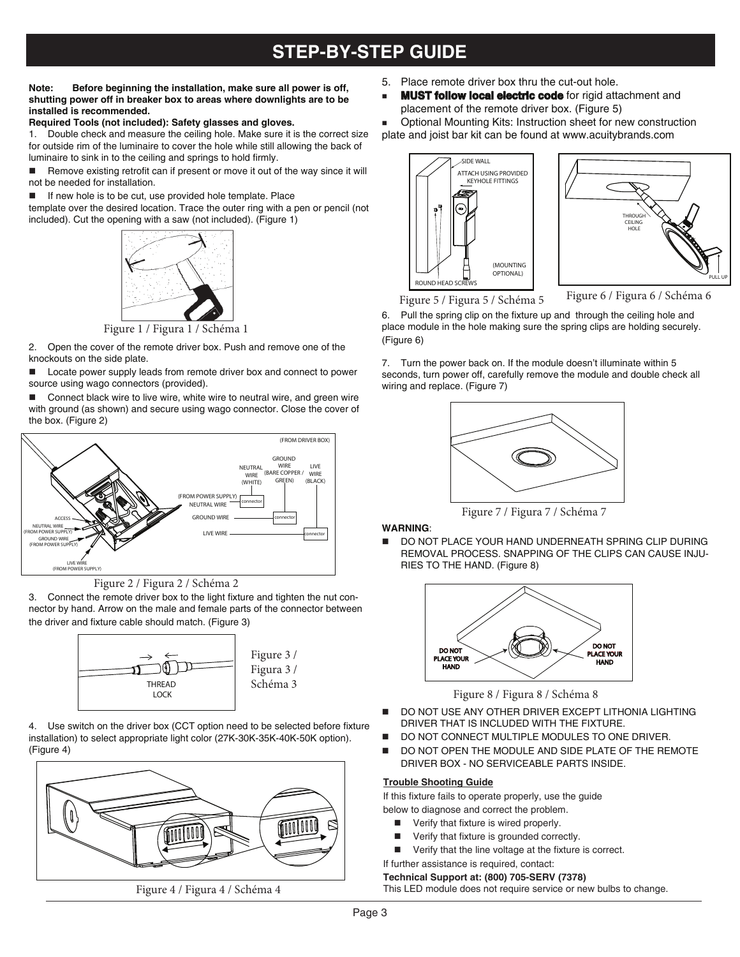## **STEP-BY-STEP GUIDE**

#### **Note: Before beginning the installation, make sure all power is off, shutting power off in breaker box to areas where downlights are to be installed is recommended.**

#### **Required Tools (not included): Safety glasses and gloves.**

1. Double check and measure the ceiling hole. Make sure it is the correct size for outside rim of the luminaire to cover the hole while still allowing the back of luminaire to sink in to the ceiling and springs to hold firmly.

 $\blacksquare$  Remove existing retrofit can if present or move it out of the way since it will not be needed for installation.

 $\blacksquare$  If new hole is to be cut, use provided hole template. Place

template over the desired location. Trace the outer ring with a pen or pencil (not included). Cut the opening with a saw (not included). (Figure 1)



2. Open the cover of the remote driver box. Push and remove one of the knockouts on the side plate.

Locate power supply leads from remote driver box and connect to power source using wago connectors (provided).

 Connect black wire to live wire, white wire to neutral wire, and green wire with ground (as shown) and secure using wago connector. Close the cover of the box. (Figure 2)





3. Connect the remote driver box to the light fixture and tighten the nut connector by hand. Arrow on the male and female parts of the connector between the driver and fixture cable should match. (Figure 3)



4. Use switch on the driver box (CCT option need to be selected before fixture installation) to select appropriate light color (27K-30K-35K-40K-50K option). (Figure 4)



Figure 4 / Figura 4 / Schéma 4

- 5. Place remote driver box thru the cut-out hole.
- **MUST follow local electric code** for rigid attachment and placement of the remote driver box. (Figure 5)

Optional Mounting Kits: Instruction sheet for new construction

plate and joist bar kit can be found at www.acuitybrands.com





Figure 5 / Figura 5 / Schéma 5<br>6. Pull the spring clip on the fixture up and through the ceiling hole and place module in the hole making sure the spring clips are holding securely. (Figure 6)

7. Turn the power back on. If the module doesn't illuminate within 5 seconds, turn power off, carefully remove the module and double check all wiring and replace. (Figure 7)



Figure 7 / Figura 7 / Schéma 7

## **WARNING**:

 DO NOT PLACE YOUR HAND UNDERNEATH SPRING CLIP DURING REMOVAL PROCESS. SNAPPING OF THE CLIPS CAN CAUSE INJU- RIES TO THE HAND. (Figure 8)



- DO NOT USE ANY OTHER DRIVER EXCEPT LITHONIA LIGHTING DRIVER THAT IS INCLUDED WITH THE FIXTURE.
- DO NOT CONNECT MULTIPLE MODULES TO ONE DRIVER.
- DO NOT OPEN THE MODULE AND SIDE PLATE OF THE REMOTE DRIVER BOX - NO SERVICEABLE PARTS INSIDE.

#### **Trouble Shooting Guide**

If this fixture fails to operate properly, use the guide below to diagnose and correct the problem.

- Verify that fixture is wired properly.
- Verify that fixture is grounded correctly.
- Verify that the line voltage at the fixture is correct.
- If further assistance is required, contact:

#### **Technical Support at: (800) 705-SERV (7378)**

This LED module does not require service or new bulbs to change.